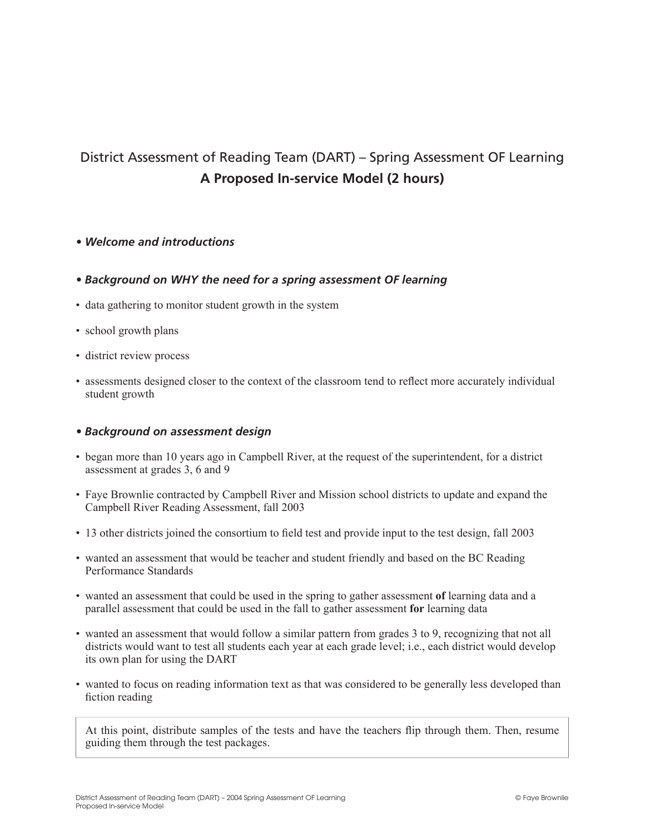# District Assessment of Reading Team (DART) – Spring Assessment OF Learning **A Proposed In-service Model (2 hours)**

## *• Welcome and introductions*

## *• Background on WHY the need for a spring assessment OF learning*

- data gathering to monitor student growth in the system
- school growth plans
- district review process
- assessments designed closer to the context of the classroom tend to reflect more accurately individual student growth

## *• Background on assessment design*

- began more than 10 years ago in Campbell River, at the request of the superintendent, for a district assessment at grades 3, 6 and 9
- Faye Brownlie contracted by Campbell River and Mission school districts to update and expand the Campbell River Reading Assessment, fall 2003
- 13 other districts joined the consortium to field test and provide input to the test design, fall 2003
- wanted an assessment that would be teacher and student friendly and based on the BC Reading Performance Standards
- wanted an assessment that could be used in the spring to gather assessment **of** learning data and a parallel assessment that could be used in the fall to gather assessment **for** learning data
- wanted an assessment that would follow a similar pattern from grades 3 to 9, recognizing that not all districts would want to test all students each year at each grade level; i.e., each district would develop its own plan for using the DART
- wanted to focus on reading information text as that was considered to be generally less developed than fiction reading

At this point, distribute samples of the tests and have the teachers flip through them. Then, resume guiding them through the test packages.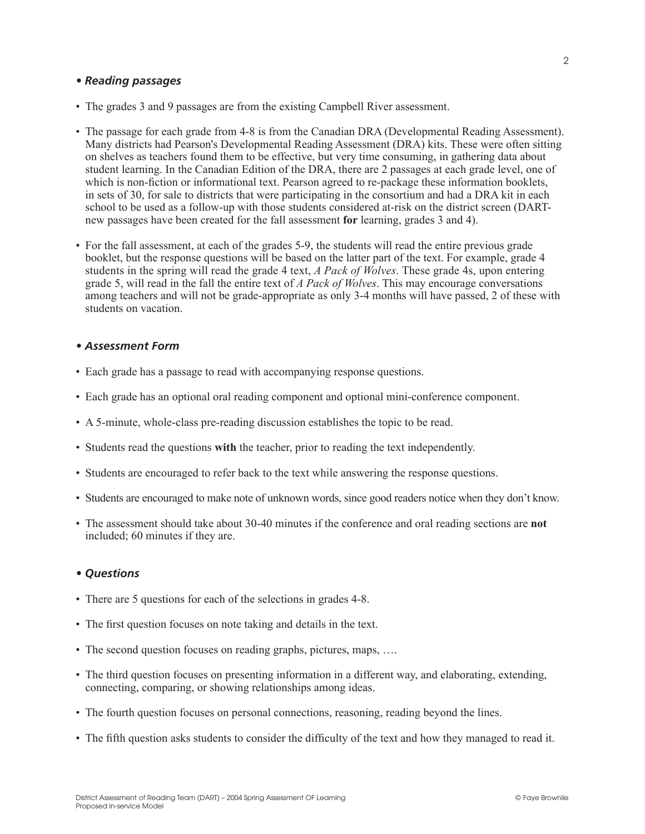#### *• Reading passages*

- The grades 3 and 9 passages are from the existing Campbell River assessment.
- The passage for each grade from 4-8 is from the Canadian DRA (Developmental Reading Assessment). Many districts had Pearson's Developmental Reading Assessment (DRA) kits. These were often sitting on shelves as teachers found them to be effective, but very time consuming, in gathering data about student learning. In the Canadian Edition of the DRA, there are 2 passages at each grade level, one of which is non-fiction or informational text. Pearson agreed to re-package these information booklets, in sets of 30, for sale to districts that were participating in the consortium and had a DRA kit in each school to be used as a follow-up with those students considered at-risk on the district screen (DARTnew passages have been created for the fall assessment **for** learning, grades 3 and 4).
- For the fall assessment, at each of the grades 5-9, the students will read the entire previous grade booklet, but the response questions will be based on the latter part of the text. For example, grade 4 students in the spring will read the grade 4 text, *A Pack of Wolves*. These grade 4s, upon entering grade 5, will read in the fall the entire text of *A Pack of Wolves*. This may encourage conversations among teachers and will not be grade-appropriate as only 3-4 months will have passed, 2 of these with students on vacation.

#### *• Assessment Form*

- Each grade has a passage to read with accompanying response questions.
- Each grade has an optional oral reading component and optional mini-conference component.
- A 5-minute, whole-class pre-reading discussion establishes the topic to be read.
- Students read the questions **with** the teacher, prior to reading the text independently.
- Students are encouraged to refer back to the text while answering the response questions.
- Students are encouraged to make note of unknown words, since good readers notice when they don't know.
- The assessment should take about 30-40 minutes if the conference and oral reading sections are **not** included; 60 minutes if they are.

## *• Questions*

- There are 5 questions for each of the selections in grades 4-8.
- The first question focuses on note taking and details in the text.
- The second question focuses on reading graphs, pictures, maps, ...
- The third question focuses on presenting information in a different way, and elaborating, extending, connecting, comparing, or showing relationships among ideas.
- The fourth question focuses on personal connections, reasoning, reading beyond the lines.
- The fifth question asks students to consider the difficulty of the text and how they managed to read it.